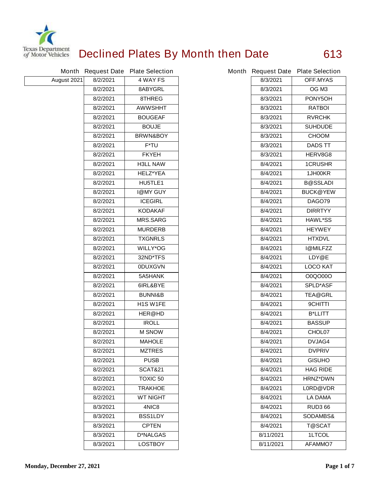

## **Declined Plates By Month then Date 613**

|             |          | Month Request Date Plate Selection |           | Month Request Date Plate Selection |
|-------------|----------|------------------------------------|-----------|------------------------------------|
| August 2021 | 8/2/2021 | 4 WAY FS                           | 8/3/2021  | <b>OFF.MYAS</b>                    |
|             | 8/2/2021 | 8ABYGRL                            | 8/3/2021  | OG M <sub>3</sub>                  |
|             | 8/2/2021 | 8THREG                             | 8/3/2021  | PONY5OH                            |
|             | 8/2/2021 | <b>AWWSHHT</b>                     | 8/3/2021  | <b>RATBOI</b>                      |
|             | 8/2/2021 | <b>BOUGEAF</b>                     | 8/3/2021  | <b>RVRCHK</b>                      |
|             | 8/2/2021 | <b>BOUJE</b>                       | 8/3/2021  | <b>SUHDUDE</b>                     |
|             | 8/2/2021 | <b>BRWN&amp;BOY</b>                | 8/3/2021  | <b>CHOOM</b>                       |
|             | 8/2/2021 | F*TU                               | 8/3/2021  | <b>DADS TT</b>                     |
|             | 8/2/2021 | <b>FKYEH</b>                       | 8/3/2021  | HERV8G8                            |
|             | 8/2/2021 | <b>H3LL NAW</b>                    | 8/4/2021  | <b>1CRUSHR</b>                     |
|             | 8/2/2021 | <b>HELZ*YEA</b>                    | 8/4/2021  | 1JH00KR                            |
|             | 8/2/2021 | HU5TLE1                            | 8/4/2021  | <b>B@SSLADI</b>                    |
|             | 8/2/2021 | <b>I@MY GUY</b>                    | 8/4/2021  | <b>BUCK@YEW</b>                    |
|             | 8/2/2021 | <b>ICEGIRL</b>                     | 8/4/2021  | <b>DAGO79</b>                      |
|             | 8/2/2021 | <b>KODAKAF</b>                     | 8/4/2021  | <b>DIRRTYY</b>                     |
|             | 8/2/2021 | <b>MRS.SARG</b>                    | 8/4/2021  | <b>HAWL*SS</b>                     |
|             | 8/2/2021 | <b>MURDERB</b>                     | 8/4/2021  | <b>HEYWEY</b>                      |
|             | 8/2/2021 | <b>TXGNRLS</b>                     | 8/4/2021  | <b>HTXDVL</b>                      |
|             | 8/2/2021 | <b>WILLY*OG</b>                    | 8/4/2021  | <b>I@MILFZZ</b>                    |
|             | 8/2/2021 | 32ND*TFS                           | 8/4/2021  | LDY@E                              |
|             | 8/2/2021 | <b>ODUXGVN</b>                     | 8/4/2021  | <b>LOCO KAT</b>                    |
|             | 8/2/2021 | 5A5HANK                            | 8/4/2021  | 00Q0000                            |
|             | 8/2/2021 | 6IRL&BYE                           | 8/4/2021  | <b>SPLD*ASF</b>                    |
|             | 8/2/2021 | <b>BUNNI&amp;B</b>                 | 8/4/2021  | <b>TEA@GRL</b>                     |
|             | 8/2/2021 | H <sub>1</sub> S W <sub>1FE</sub>  | 8/4/2021  | <b>9CHITTI</b>                     |
|             | 8/2/2021 | <b>HER@HD</b>                      | 8/4/2021  | <b>B*LLITT</b>                     |
|             | 8/2/2021 | <b>IROLL</b>                       | 8/4/2021  | <b>BASSUP</b>                      |
|             | 8/2/2021 | <b>M SNOW</b>                      | 8/4/2021  | CHOL07                             |
|             | 8/2/2021 | <b>MAHOLE</b>                      | 8/4/2021  | <b>DVJAG4</b>                      |
|             | 8/2/2021 | <b>MZTRES</b>                      | 8/4/2021  | <b>DVPRIV</b>                      |
|             | 8/2/2021 | <b>PUSB</b>                        | 8/4/2021  | <b>GISUHO</b>                      |
|             | 8/2/2021 | <b>SCAT&amp;21</b>                 | 8/4/2021  | <b>HAG RIDE</b>                    |
|             | 8/2/2021 | <b>TOXIC 50</b>                    | 8/4/2021  | <b>HRNZ*DWN</b>                    |
|             | 8/2/2021 | <b>TRAKHOE</b>                     | 8/4/2021  | L0RD@VDR                           |
|             | 8/2/2021 | <b>WT NIGHT</b>                    | 8/4/2021  | <b>LA DAMA</b>                     |
|             | 8/3/2021 | 4NIC8                              | 8/4/2021  | <b>RUD3 66</b>                     |
|             | 8/3/2021 | <b>BSS1LDY</b>                     | 8/4/2021  | <b>SODAMBS&amp;</b>                |
|             | 8/3/2021 | <b>CPTEN</b>                       | 8/4/2021  | <b>T@SCAT</b>                      |
|             | 8/3/2021 | <b>D*NALGAS</b>                    | 8/11/2021 | <b>1LTCOL</b>                      |
|             | 8/3/2021 | <b>LOSTBOY</b>                     | 8/11/2021 | <b>AFAMMO7</b>                     |

|           | th Request Date Plate Selection |
|-----------|---------------------------------|
| 8/3/2021  | <b>OFF.MYAS</b>                 |
| 8/3/2021  | OG M3                           |
| 8/3/2021  | PONY5OH                         |
| 8/3/2021  | <b>RATBOL</b>                   |
| 8/3/2021  | <b>RVRCHK</b>                   |
| 8/3/2021  | <b>SUHDUDE</b>                  |
| 8/3/2021  | <b>CHOOM</b>                    |
| 8/3/2021  | <b>DADS TT</b>                  |
| 8/3/2021  | <b>HERV8G8</b>                  |
| 8/4/2021  | <b>1CRUSHR</b>                  |
| 8/4/2021  | 1JH00KR                         |
| 8/4/2021  | B@SSLADI                        |
| 8/4/2021  | <b>BUCK@YEW</b>                 |
| 8/4/2021  | <b>DAGO79</b>                   |
| 8/4/2021  | <b>DIRRTYY</b>                  |
| 8/4/2021  | <b>HAWL*SS</b>                  |
| 8/4/2021  | <b>HEYWEY</b>                   |
| 8/4/2021  | <b>HTXDVL</b>                   |
| 8/4/2021  | <b>I@MILFZZ</b>                 |
| 8/4/2021  | <b>LDY@E</b>                    |
| 8/4/2021  | <b>LOCO KAT</b>                 |
| 8/4/2021  | 00Q0000                         |
| 8/4/2021  | <b>SPLD*ASF</b>                 |
| 8/4/2021  | <b>TEA@GRL</b>                  |
| 8/4/2021  | <b>9CHITTI</b>                  |
| 8/4/2021  | <b>B*LLITT</b>                  |
| 8/4/2021  | <b>BASSUP</b>                   |
| 8/4/2021  | CHOL07                          |
| 8/4/2021  | <b>DVJAG4</b>                   |
| 8/4/2021  | <b>DVPRIV</b>                   |
| 8/4/2021  | <b>GISUHO</b>                   |
| 8/4/2021  | <b>HAG RIDE</b>                 |
| 8/4/2021  | <b>HRNZ*DWN</b>                 |
| 8/4/2021  | <b>LORD@VDR</b>                 |
| 8/4/2021  | LA DAMA                         |
| 8/4/2021  | <b>RUD3 66</b>                  |
| 8/4/2021  | <b>SODAMBS&amp;</b>             |
| 8/4/2021  | T@SCAT                          |
| 8/11/2021 | <b>1LTCOL</b>                   |
| 8/11/2021 | <b>AFAMMO7</b>                  |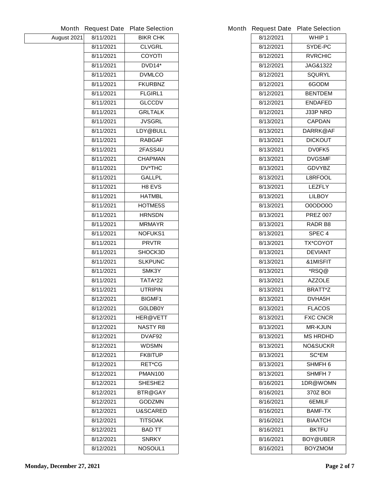|             | <b>Month Request Date</b> | <b>Plate Selection</b> | <b>Month Request Date</b> | <b>Plate Selection</b> |
|-------------|---------------------------|------------------------|---------------------------|------------------------|
| August 2021 | 8/11/2021                 | <b>BIKR CHK</b>        | 8/12/2021                 | WHIP <sub>1</sub>      |
|             | 8/11/2021                 | <b>CLVGRL</b>          | 8/12/2021                 | SYDE-PC                |
|             | 8/11/2021                 | <b>COYOTI</b>          | 8/12/2021                 | <b>RVRCHIC</b>         |
|             | 8/11/2021                 | <b>DVD14*</b>          | 8/12/2021                 | JAG&1322               |
|             | 8/11/2021                 | <b>DVMLCO</b>          | 8/12/2021                 | <b>SQURYL</b>          |
|             | 8/11/2021                 | <b>FKURBNZ</b>         | 8/12/2021                 | 6GODM                  |
|             | 8/11/2021                 | <b>FLGIRL1</b>         | 8/12/2021                 | <b>BENTDEM</b>         |
|             | 8/11/2021                 | <b>GLCCDV</b>          | 8/12/2021                 | <b>ENDAFED</b>         |
|             | 8/11/2021                 | <b>GRLTALK</b>         | 8/12/2021                 | J33P NRD               |
|             | 8/11/2021                 | <b>JVSGRL</b>          | 8/13/2021                 | <b>CAPDAN</b>          |
|             | 8/11/2021                 | LDY@BULL               | 8/13/2021                 | DARRK@AF               |
|             | 8/11/2021                 | <b>RABGAF</b>          | 8/13/2021                 | <b>DICKOUT</b>         |
|             | 8/11/2021                 | 2FASS4U                | 8/13/2021                 | DV0FK5                 |
|             | 8/11/2021                 | <b>CHAPMAN</b>         | 8/13/2021                 | <b>DVGSMF</b>          |
|             | 8/11/2021                 | <b>DV*THC</b>          | 8/13/2021                 | <b>GDVYBZ</b>          |
|             | 8/11/2021                 | <b>GALLPL</b>          | 8/13/2021                 | <b>L8RFOOL</b>         |
|             | 8/11/2021                 | H8 EVS                 | 8/13/2021                 | <b>LEZFLY</b>          |
|             | 8/11/2021                 | <b>HATMBL</b>          | 8/13/2021                 | <b>LILBOY</b>          |
|             | 8/11/2021                 | HOTME5S                | 8/13/2021                 | <b>O0ODO0O</b>         |
|             | 8/11/2021                 | <b>HRNSDN</b>          | 8/13/2021                 | <b>PREZ 007</b>        |
|             | 8/11/2021                 | <b>MRMAYR</b>          | 8/13/2021                 | <b>RADR B8</b>         |
|             | 8/11/2021                 | <b>NOFUKS1</b>         | 8/13/2021                 | SPEC <sub>4</sub>      |
|             | 8/11/2021                 | <b>PRVTR</b>           | 8/13/2021                 | <b>TX*COYOT</b>        |
|             | 8/11/2021                 | SHOCK3D                | 8/13/2021                 | <b>DEVIANT</b>         |
|             | 8/11/2021                 | <b>SLKPUNC</b>         | 8/13/2021                 | &1MISFIT               |
|             | 8/11/2021                 | SMK3Y                  | 8/13/2021                 | *RSQ@                  |
|             | 8/11/2021                 | <b>TATA*22</b>         | 8/13/2021                 | <b>AZZOLE</b>          |
|             | 8/11/2021                 | <b>UTRIPIN</b>         | 8/13/2021                 | <b>BRATT*Z</b>         |
|             | 8/12/2021                 | <b>BIGMF1</b>          | 8/13/2021                 | DVHA5H                 |
|             | 8/12/2021                 | G0LDB0Y                | 8/13/2021                 | <b>FLACOS</b>          |
|             | 8/12/2021                 | <b>HER@VETT</b>        | 8/13/2021                 | <b>FXC CNCR</b>        |
|             | 8/12/2021                 | <b>NASTY R8</b>        | 8/13/2021                 | <b>MR-KJUN</b>         |
|             | 8/12/2021                 | DVAF92                 | 8/13/2021                 | <b>MS HRDHD</b>        |
|             | 8/12/2021                 | <b>WDSMN</b>           | 8/13/2021                 | <b>NO&amp;SUCKR</b>    |
|             | 8/12/2021                 | <b>FK8ITUP</b>         | 8/13/2021                 | <b>SC*EM</b>           |
|             | 8/12/2021                 | <b>RET*CG</b>          | 8/13/2021                 | <b>SHMFH6</b>          |
|             | 8/12/2021                 | <b>PMAN100</b>         | 8/13/2021                 | <b>SHMFH7</b>          |
|             | 8/12/2021                 | SHESHE2                | 8/16/2021                 | 1DR@WOMN               |
|             | 8/12/2021                 | <b>BTR@GAY</b>         | 8/16/2021                 | <b>370Z BOI</b>        |
|             | 8/12/2021                 | <b>GODZMN</b>          | 8/16/2021                 | 6EMILF                 |
|             | 8/12/2021                 | <b>U&amp;SCARED</b>    | 8/16/2021                 | <b>BAMF-TX</b>         |
|             | 8/12/2021                 | <b>TITSOAK</b>         | 8/16/2021                 | <b>BIAATCH</b>         |
|             | 8/12/2021                 | <b>BAD TT</b>          | 8/16/2021                 | <b>BKTFU</b>           |
|             | 8/12/2021                 | <b>SNRKY</b>           | 8/16/2021                 | <b>BOY@UBER</b>        |
|             | 8/12/2021                 | <b>NOSOUL1</b>         | 8/16/2021                 | <b>BOYZMOM</b>         |

|           | <b>Request Date Plate Selection</b> |
|-----------|-------------------------------------|
| 8/12/2021 | WHIP 1                              |
| 8/12/2021 | <b>SYDE-PC</b>                      |
| 8/12/2021 | <b>RVRCHIC</b>                      |
| 8/12/2021 | <b>JAG&amp;1322</b>                 |
| 8/12/2021 | <b>SQURYL</b>                       |
| 8/12/2021 | 6GODM                               |
| 8/12/2021 | <b>BENTDEM</b>                      |
| 8/12/2021 | <b>ENDAFED</b>                      |
| 8/12/2021 | <b>J33P NRD</b>                     |
| 8/13/2021 | <b>CAPDAN</b>                       |
| 8/13/2021 | <b>DARRK@AF</b>                     |
| 8/13/2021 | <b>DICKOUT</b>                      |
| 8/13/2021 | <b>DV0FK5</b>                       |
| 8/13/2021 | <b>DVGSMF</b>                       |
| 8/13/2021 | <b>GDVYBZ</b>                       |
| 8/13/2021 | <b>L8RFOOL</b>                      |
| 8/13/2021 | LEZFLY                              |
| 8/13/2021 | <b>LILBOY</b>                       |
| 8/13/2021 | <b>O0ODO0O</b>                      |
| 8/13/2021 | <b>PREZ 007</b>                     |
| 8/13/2021 | RADR B8                             |
| 8/13/2021 | SPEC <sub>4</sub>                   |
| 8/13/2021 | <b>TX*COYOT</b>                     |
| 8/13/2021 | <b>DEVIANT</b>                      |
| 8/13/2021 | &1MISFIT                            |
| 8/13/2021 | *RSQ@                               |
| 8/13/2021 | <b>AZZOLE</b>                       |
| 8/13/2021 | <b>BRATT*Z</b>                      |
| 8/13/2021 | DVHA5H                              |
| 8/13/2021 | <b>FLACOS</b>                       |
| 8/13/2021 | <b>FXC CNCR</b>                     |
| 8/13/2021 | <b>MR-KJUN</b>                      |
| 8/13/2021 | <b>MS HRDHD</b>                     |
| 8/13/2021 | <b>NO&amp;SUCKR</b>                 |
| 8/13/2021 | <b>SC*EM</b>                        |
| 8/13/2021 | SHMFH 6                             |
| 8/13/2021 | SHMFH 7                             |
| 8/16/2021 | 1DR@WOMN                            |
| 8/16/2021 | 370Z BOI                            |
| 8/16/2021 | 6EMILF                              |
| 8/16/2021 | <b>BAMF-TX</b>                      |
| 8/16/2021 | BIAATCH                             |
| 8/16/2021 | <b>BKTFU</b>                        |
| 8/16/2021 | <b>BOY@UBER</b>                     |
| 8/16/2021 | <b>BOYZMOM</b>                      |
|           |                                     |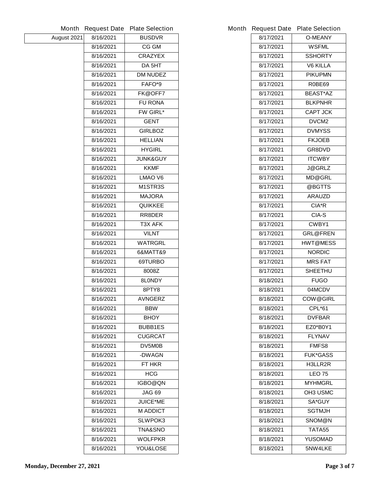|             | <b>Month Request Date</b> | <b>Plate Selection</b> |           | Month Request Date Plate Selection |
|-------------|---------------------------|------------------------|-----------|------------------------------------|
| August 2021 | 8/16/2021                 | <b>BUSDVR</b>          | 8/17/2021 | <b>O-MEANY</b>                     |
|             | 8/16/2021                 | <b>CG GM</b>           | 8/17/2021 | <b>WSFML</b>                       |
|             | 8/16/2021                 | <b>CRAZYEX</b>         | 8/17/2021 | <b>SSHORTY</b>                     |
|             | 8/16/2021                 | DA 5HT                 | 8/17/2021 | <b>V6 KILLA</b>                    |
|             | 8/16/2021                 | <b>DM NUDEZ</b>        | 8/17/2021 | <b>PIKUPMN</b>                     |
|             | 8/16/2021                 | FAFO*9                 | 8/17/2021 | <b>R0BE69</b>                      |
|             | 8/16/2021                 | FK@OFF7                | 8/17/2021 | <b>BEAST*AZ</b>                    |
|             | 8/16/2021                 | <b>FU RONA</b>         | 8/17/2021 | <b>BLKPNHR</b>                     |
|             | 8/16/2021                 | <b>FW GIRL*</b>        | 8/17/2021 | <b>CAPT JCK</b>                    |
|             | 8/16/2021                 | <b>GENT</b>            | 8/17/2021 | DVCM <sub>2</sub>                  |
|             | 8/16/2021                 | <b>GIRLBOZ</b>         | 8/17/2021 | <b>DVMYSS</b>                      |
|             | 8/16/2021                 | <b>HELLIAN</b>         | 8/17/2021 | <b>FKJOEB</b>                      |
|             | 8/16/2021                 | <b>HYGIRL</b>          | 8/17/2021 | GR8DVD                             |
|             | 8/16/2021                 | <b>JUNK&amp;GUY</b>    | 8/17/2021 | <b>ITCWBY</b>                      |
|             | 8/16/2021                 | <b>KKMF</b>            | 8/17/2021 | <b>J@GRLZ</b>                      |
|             | 8/16/2021                 | <b>LMAO V6</b>         | 8/17/2021 | <b>MD@GRL</b>                      |
|             | 8/16/2021                 | M1STR3S                | 8/17/2021 | @BGTTS                             |
|             | 8/16/2021                 | <b>MAJORA</b>          | 8/17/2021 | <b>ARAUZD</b>                      |
|             | 8/16/2021                 | <b>QUIKKEE</b>         | 8/17/2021 | CIA*R                              |
|             | 8/16/2021                 | RR8DER                 | 8/17/2021 | <b>CIA-S</b>                       |
|             | 8/16/2021                 | T3X AFK                | 8/17/2021 | CWBY1                              |
|             | 8/16/2021                 | <b>VILNT</b>           | 8/17/2021 | <b>GRL@FREN</b>                    |
|             | 8/16/2021                 | <b>WATRGRL</b>         | 8/17/2021 | <b>HWT@MESS</b>                    |
|             | 8/16/2021                 | 6&MATT&9               | 8/17/2021 | <b>NORDIC</b>                      |
|             | 8/16/2021                 | 69TURBO                | 8/17/2021 | <b>MRS FAT</b>                     |
|             | 8/16/2021                 | 8008Z                  | 8/17/2021 | <b>SHEETHU</b>                     |
|             | 8/16/2021                 | 8L0NDY                 | 8/18/2021 | <b>FUGO</b>                        |
|             | 8/16/2021                 | 8PTY8                  | 8/18/2021 | 04MCDV                             |
|             | 8/16/2021                 | <b>AVNGERZ</b>         | 8/18/2021 | <b>COW@GIRL</b>                    |
|             | 8/16/2021                 | <b>BBW</b>             | 8/18/2021 | <b>CPL*61</b>                      |
|             | 8/16/2021                 | <b>BHOY</b>            | 8/18/2021 | <b>DVFBAR</b>                      |
|             | 8/16/2021                 | <b>BUBB1ES</b>         | 8/18/2021 | EZ0*B0Y1                           |
|             | 8/16/2021                 | <b>CUGRCAT</b>         | 8/18/2021 | <b>FLYNAV</b>                      |
|             | 8/16/2021                 | DV5M0B                 | 8/18/2021 | FMFS8                              |
|             | 8/16/2021                 | -DWAGN                 | 8/18/2021 | <b>FUK*GASS</b>                    |
|             | 8/16/2021                 | FT HKR                 | 8/18/2021 | H3LLR2R                            |
|             | 8/16/2021                 | <b>HCG</b>             | 8/18/2021 | <b>LEO 75</b>                      |
|             | 8/16/2021                 | IGBO@QN                | 8/18/2021 | <b>MYHMGRL</b>                     |
|             | 8/16/2021                 | JAG 69                 | 8/18/2021 | <b>OH3 USMC</b>                    |
|             | 8/16/2021                 | <b>JUICE*ME</b>        | 8/18/2021 | <b>SA*GUY</b>                      |
|             | 8/16/2021                 | <b>M ADDICT</b>        | 8/18/2021 | <b>SGTMJH</b>                      |
|             | 8/16/2021                 | <b>SLWPOK3</b>         | 8/18/2021 | SNOM@N                             |
|             | 8/16/2021                 | <b>TNA&amp;SNO</b>     | 8/18/2021 | TATA55                             |
|             | 8/16/2021                 | <b>WOLFPKR</b>         | 8/18/2021 | <b>YUSOMAD</b>                     |
|             | 8/16/2021                 | YOU&LOSE               | 8/18/2021 | 5NW4LKE                            |

|           | <b>Request Date Plate Selection</b> |
|-----------|-------------------------------------|
| 8/17/2021 | <b>O-MEANY</b>                      |
| 8/17/2021 | <b>WSFML</b>                        |
| 8/17/2021 | <b>SSHORTY</b>                      |
| 8/17/2021 | <b>V6 KILLA</b>                     |
| 8/17/2021 | <b>PIKUPMN</b>                      |
| 8/17/2021 | R0BE69                              |
| 8/17/2021 | <b>BEAST*AZ</b>                     |
| 8/17/2021 | <b>BLKPNHR</b>                      |
| 8/17/2021 | <b>CAPT JCK</b>                     |
| 8/17/2021 | <b>DVCM2</b>                        |
| 8/17/2021 | <b>DVMYSS</b>                       |
| 8/17/2021 | <b>FKJOEB</b>                       |
| 8/17/2021 | <b>GR8DVD</b>                       |
| 8/17/2021 | <b>ITCWBY</b>                       |
| 8/17/2021 | <b>J@GRLZ</b>                       |
| 8/17/2021 | <b>MD@GRL</b>                       |
| 8/17/2021 | @BGTTS                              |
| 8/17/2021 | <b>ARAUZD</b>                       |
| 8/17/2021 | CIA*R                               |
| 8/17/2021 | CIA-S                               |
| 8/17/2021 | CWBY1                               |
| 8/17/2021 | <b>GRL@FREN</b>                     |
| 8/17/2021 | <b>HWT@MESS</b>                     |
| 8/17/2021 | <b>NORDIC</b>                       |
| 8/17/2021 | <b>MRS FAT</b>                      |
| 8/17/2021 | <b>SHEETHU</b>                      |
| 8/18/2021 | <b>FUGO</b>                         |
| 8/18/2021 | 04MCDV                              |
| 8/18/2021 | <b>COW@GIRL</b>                     |
| 8/18/2021 | CPL*61                              |
| 8/18/2021 | <b>DVFBAR</b>                       |
| 8/18/2021 | EZ0*B0Y1                            |
| 8/18/2021 | <b>FLYNAV</b>                       |
| 8/18/2021 | <b>FMFS8</b>                        |
| 8/18/2021 | <b>FUK*GASS</b>                     |
| 8/18/2021 | <b>H3LLR2R</b>                      |
| 8/18/2021 | LEO 75                              |
| 8/18/2021 | <b>MYHMGRL</b>                      |
| 8/18/2021 | OH3 USMC                            |
| 8/18/2021 | <b>SA*GUY</b>                       |
| 8/18/2021 | SGTMJH                              |
| 8/18/2021 | <b>SNOM@N</b>                       |
| 8/18/2021 | TATA55                              |
| 8/18/2021 | YUSOMAD                             |
| 8/18/2021 | 5NW4LKE                             |
|           |                                     |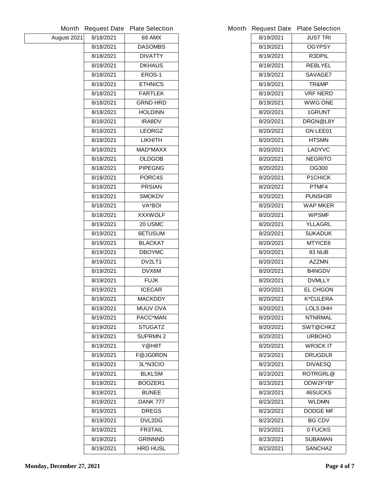|             | <b>Month Request Date</b> | <b>Plate Selection</b> |           | Month Request Date Plate Selection |
|-------------|---------------------------|------------------------|-----------|------------------------------------|
| August 2021 | 8/18/2021                 | <b>69 AMX</b>          | 8/19/2021 | <b>JUST TRI</b>                    |
|             | 8/18/2021                 | <b>DASOMBS</b>         | 8/19/2021 | <b>OGYPSY</b>                      |
|             | 8/18/2021                 | <b>DIVATTY</b>         | 8/19/2021 | R3DPIL                             |
|             | 8/18/2021                 | <b>DKHAUS</b>          | 8/19/2021 | <b>REBLYEL</b>                     |
|             | 8/18/2021                 | EROS-1                 | 8/19/2021 | <b>SAVAGE7</b>                     |
|             | 8/18/2021                 | <b>ETHNICS</b>         | 8/19/2021 | TR&MP                              |
|             | 8/18/2021                 | <b>FARTLEK</b>         | 8/19/2021 | <b>VRF NERD</b>                    |
|             | 8/18/2021                 | <b>GRND HRD</b>        | 8/19/2021 | <b>WWG ONE</b>                     |
|             | 8/18/2021                 | <b>HOLDINN</b>         | 8/20/2021 | 1GRUNT                             |
|             | 8/18/2021                 | <b>IRA8DV</b>          | 8/20/2021 | DRGN@L8Y                           |
|             | 8/18/2021                 | <b>LEORGZ</b>          | 8/20/2021 | <b>GN LEE01</b>                    |
|             | 8/18/2021                 | <b>LIKHITH</b>         | 8/20/2021 | <b>HTSMN</b>                       |
|             | 8/18/2021                 | <b>MAD*MAXX</b>        | 8/20/2021 | <b>LADYVC</b>                      |
|             | 8/18/2021                 | <b>OLDGOB</b>          | 8/20/2021 | <b>NEGRITO</b>                     |
|             | 8/18/2021                 | <b>PIPEGNG</b>         | 8/20/2021 | <b>OG300</b>                       |
|             | 8/18/2021                 | PORC4S                 | 8/20/2021 | <b>P1CHICK</b>                     |
|             | 8/18/2021                 | <b>PRSIAN</b>          | 8/20/2021 | PTMF4                              |
|             | 8/18/2021                 | <b>SMOKDV</b>          | 8/20/2021 | <b>PUNSH3R</b>                     |
|             | 8/18/2021                 | <b>VA*BOI</b>          | 8/20/2021 | <b>WAP MKER</b>                    |
|             | 8/18/2021                 | <b>XXXWOLF</b>         | 8/20/2021 | <b>WPSMF</b>                       |
|             | 8/19/2021                 | 20 USMC                | 8/20/2021 | <b>YLLAGRL</b>                     |
|             | 8/19/2021                 | 6ETUSUM                | 8/20/2021 | 5UKADUK                            |
|             | 8/19/2021                 | <b>BLACKAT</b>         | 8/20/2021 | <b>MTYICE6</b>                     |
|             | 8/19/2021                 | <b>DBOYMC</b>          | 8/20/2021 | <b>93 NUB</b>                      |
|             | 8/19/2021                 | DV2LT1                 | 8/20/2021 | <b>AZZMN</b>                       |
|             | 8/19/2021                 | DVX6M                  | 8/20/2021 | <b>B4NGDV</b>                      |
|             | 8/19/2021                 | <b>FUJK</b>            | 8/20/2021 | <b>DVMLLY</b>                      |
|             | 8/19/2021                 | <b>ICECAR</b>          | 8/20/2021 | <b>EL CHGON</b>                    |
|             | 8/19/2021                 | <b>MACKDDY</b>         | 8/20/2021 | <b>K*CULERA</b>                    |
|             | 8/19/2021                 | <b>MUUV OVA</b>        | 8/20/2021 | LOL5.0HH                           |
|             | 8/19/2021                 | <b>PACC*MAN</b>        | 8/20/2021 | <b>NTNRMAL</b>                     |
|             | 8/19/2021                 | <b>STUGATZ</b>         | 8/20/2021 | <b>SWT@CHKZ</b>                    |
|             | 8/19/2021                 | <b>SUPRMN 2</b>        | 8/20/2021 | <b>URBOHO</b>                      |
|             | 8/19/2021                 | Y@H8T                  | 8/20/2021 | <b>WR3CKIT</b>                     |
|             | 8/19/2021                 | <b>F@JG0RDN</b>        | 8/23/2021 | <b>DRUGDLR</b>                     |
|             | 8/19/2021                 | 3L*N3CIO               | 8/23/2021 | <b>DIVAESQ</b>                     |
|             | 8/19/2021                 | <b>BLKLSM</b>          | 8/23/2021 | <b>ROTRGRL@</b>                    |
|             | 8/19/2021                 | BOOZER1                | 8/23/2021 | ODW2FYB*                           |
|             | 8/19/2021                 | <b>BUNEE</b>           | 8/23/2021 | <b>46SUCKS</b>                     |
|             | 8/19/2021                 | <b>DANK 777</b>        | 8/23/2021 | <b>WLDMN</b>                       |
|             | 8/19/2021                 | <b>DREGS</b>           | 8/23/2021 | <b>DODGE MF</b>                    |
|             | 8/19/2021                 | <b>DVL2DG</b>          | 8/23/2021 | <b>BG CDV</b>                      |
|             | 8/19/2021                 | <b>FR3TAIL</b>         | 8/23/2021 | 0 FUCKS                            |
|             | 8/19/2021                 | <b>GRINNND</b>         | 8/23/2021 | <b>SUBAMAN</b>                     |
|             | 8/19/2021                 | <b>HRD HUSL</b>        | 8/23/2021 | <b>SANCHA2</b>                     |
|             |                           |                        |           |                                    |

|           | <b>Request Date Plate Selection</b> |
|-----------|-------------------------------------|
| 8/19/2021 | <b>JUST TRI</b>                     |
| 8/19/2021 | <b>OGYPSY</b>                       |
| 8/19/2021 | <b>R3DPIL</b>                       |
| 8/19/2021 | <b>REBLYEL</b>                      |
| 8/19/2021 | <b>SAVAGE7</b>                      |
| 8/19/2021 | TR&MP                               |
| 8/19/2021 | <b>VRF NERD</b>                     |
| 8/19/2021 | <b>WWG ONE</b>                      |
| 8/20/2021 | <b>1GRUNT</b>                       |
| 8/20/2021 | <b>DRGN@L8Y</b>                     |
| 8/20/2021 | <b>GN LEE01</b>                     |
| 8/20/2021 | <b>HTSMN</b>                        |
| 8/20/2021 | LADYVC                              |
| 8/20/2021 | <b>NEGRITO</b>                      |
| 8/20/2021 | <b>OG300</b>                        |
| 8/20/2021 | <b>P1CHICK</b>                      |
| 8/20/2021 | PTMF4                               |
| 8/20/2021 | <b>PUNSH3R</b>                      |
| 8/20/2021 | <b>WAP MKER</b>                     |
| 8/20/2021 | <b>WPSMF</b>                        |
| 8/20/2021 | <b>YLLAGRL</b>                      |
| 8/20/2021 | <b>5UKADUK</b>                      |
| 8/20/2021 | <b>MTYICE6</b>                      |
| 8/20/2021 | <b>93 NUB</b>                       |
| 8/20/2021 | <b>AZZMN</b>                        |
| 8/20/2021 | <b>B4NGDV</b>                       |
| 8/20/2021 | <b>DVMLLY</b>                       |
| 8/20/2021 | <b>EL CHGON</b>                     |
| 8/20/2021 | <b>K*CULERA</b>                     |
| 8/20/2021 | LOL5.0HH                            |
| 8/20/2021 | NTNRMAL                             |
| 8/20/2021 | <b>SWT@CHKZ</b>                     |
| 8/20/2021 | <b>URBOHO</b>                       |
| 8/20/2021 | <b>WR3CK IT</b>                     |
| 8/23/2021 | <b>DRUGDLR</b>                      |
| 8/23/2021 | DIVAESQ                             |
| 8/23/2021 | <b>ROTRGRL@</b>                     |
| 8/23/2021 | ODW2FYB*                            |
| 8/23/2021 | <b>46SUCKS</b>                      |
| 8/23/2021 | WLDMN                               |
| 8/23/2021 | <b>DODGE MF</b>                     |
| 8/23/2021 | <b>BG CDV</b>                       |
| 8/23/2021 | 0 FUCKS                             |
| 8/23/2021 | SUBAMAN                             |
| 8/23/2021 | <b>SANCHA2</b>                      |
|           |                                     |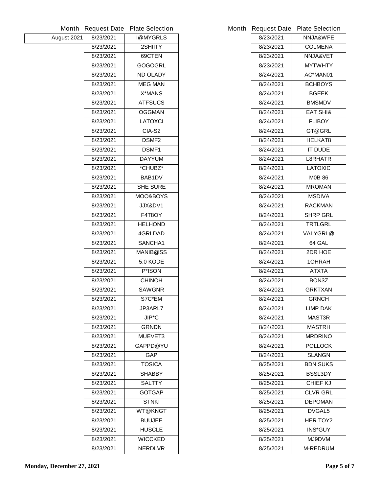|             |           | Month Request Date Plate Selection | <b>Month Request Date</b> | <b>Plate Selection</b> |
|-------------|-----------|------------------------------------|---------------------------|------------------------|
| August 2021 | 8/23/2021 | <b>I@MYGRLS</b>                    | 8/23/2021                 | <b>NNJA&amp;WFE</b>    |
|             | 8/23/2021 | 2SHIITY                            | 8/23/2021                 | <b>COLMENA</b>         |
|             | 8/23/2021 | 69CTEN                             | 8/23/2021                 | NNJA&VET               |
|             | 8/23/2021 | <b>GOGOGRL</b>                     | 8/23/2021                 | <b>MYTWHTY</b>         |
|             | 8/23/2021 | <b>ND OLADY</b>                    | 8/24/2021                 | AC*MAN01               |
|             | 8/23/2021 | <b>MEG MAN</b>                     | 8/24/2021                 | <b>BCHBOYS</b>         |
|             | 8/23/2021 | <b>X*MANS</b>                      | 8/24/2021                 | <b>BGEEK</b>           |
|             | 8/23/2021 | <b>ATFSUCS</b>                     | 8/24/2021                 | <b>BMSMDV</b>          |
|             | 8/23/2021 | <b>OGGMAN</b>                      | 8/24/2021                 | <b>EAT SHI&amp;</b>    |
|             | 8/23/2021 | <b>LATOXCI</b>                     | 8/24/2021                 | <b>FLIBOY</b>          |
|             | 8/23/2021 | CIA-S2                             | 8/24/2021                 | GT@GRL                 |
|             | 8/23/2021 | <b>DSMF2</b>                       | 8/24/2021                 | <b>HELKAT8</b>         |
|             | 8/23/2021 | <b>DSMF1</b>                       | 8/24/2021                 | <b>IT DUDE</b>         |
|             | 8/23/2021 | <b>DAYYUM</b>                      | 8/24/2021                 | <b>L8RHATR</b>         |
|             | 8/23/2021 | *CHUBZ*                            | 8/24/2021                 | <b>LATOXIC</b>         |
|             | 8/23/2021 | <b>BAB1DV</b>                      | 8/24/2021                 | <b>M0B86</b>           |
|             | 8/23/2021 | <b>SHE SURE</b>                    | 8/24/2021                 | <b>MROMAN</b>          |
|             | 8/23/2021 | <b>MOO&amp;BOYS</b>                | 8/24/2021                 | <b>MSDIVA</b>          |
|             | 8/23/2021 | <b>JJX&amp;DV1</b>                 | 8/24/2021                 | <b>RACKMAN</b>         |
|             | 8/23/2021 | <b>F4T8OY</b>                      | 8/24/2021                 | <b>SHRP GRL</b>        |
|             | 8/23/2021 | <b>HELHOND</b>                     | 8/24/2021                 | <b>TRTLGRL</b>         |
|             | 8/23/2021 | 4GRLDAD                            | 8/24/2021                 | <b>VALYGRL@</b>        |
|             | 8/23/2021 | SANCHA1                            | 8/24/2021                 | 64 GAL                 |
|             | 8/23/2021 | <b>MANIB@SS</b>                    | 8/24/2021                 | 2DR HOE                |
|             | 8/23/2021 | <b>5.0 KODE</b>                    | 8/24/2021                 | 10HRAH                 |
|             | 8/23/2021 | <b>P*ISON</b>                      | 8/24/2021                 | <b>ATXTA</b>           |
|             | 8/23/2021 | <b>CHINOH</b>                      | 8/24/2021                 | BON3Z                  |
|             | 8/23/2021 | <b>SAWGNR</b>                      | 8/24/2021                 | <b>GRKTXAN</b>         |
|             | 8/23/2021 | S7C*EM                             | 8/24/2021                 | <b>GRNCH</b>           |
|             | 8/23/2021 | JP3ARL7                            | 8/24/2021                 | <b>LIMP DAK</b>        |
|             | 8/23/2021 | <b>JIP*C</b>                       | 8/24/2021                 | <b>MAST3R</b>          |
|             | 8/23/2021 | <b>GRNDN</b>                       | 8/24/2021                 | <b>MASTRH</b>          |
|             | 8/23/2021 | <b>MUEVET3</b>                     | 8/24/2021                 | <b>MRDRINO</b>         |
|             | 8/23/2021 | GAPPD@YU                           | 8/24/2021                 | <b>POLLOCK</b>         |
|             | 8/23/2021 | <b>GAP</b>                         | 8/24/2021                 | <b>SLANGN</b>          |
|             | 8/23/2021 | <b>TOSICA</b>                      | 8/25/2021                 | <b>BDN SUKS</b>        |
|             | 8/23/2021 | <b>SHABBY</b>                      | 8/25/2021                 | <b>BSSL3DY</b>         |
|             | 8/23/2021 | <b>SALTTY</b>                      | 8/25/2021                 | <b>CHIEF KJ</b>        |
|             | 8/23/2021 | <b>GOTGAP</b>                      | 8/25/2021                 | <b>CLVR GRL</b>        |
|             | 8/23/2021 | <b>STNKI</b>                       | 8/25/2021                 | <b>DEPOMAN</b>         |
|             | 8/23/2021 | <b>WT@KNGT</b>                     | 8/25/2021                 | <b>DVGAL5</b>          |
|             | 8/23/2021 | <b>BUUJEE</b>                      | 8/25/2021                 | <b>HER TOY2</b>        |
|             | 8/23/2021 | <b>HUSCLE</b>                      | 8/25/2021                 | <b>INS*GUY</b>         |
|             | 8/23/2021 | <b>WICCKED</b>                     | 8/25/2021                 | <b>MJ9DVM</b>          |
|             | 8/23/2021 | <b>NERDLVR</b>                     | 8/25/2021                 | <b>M-REDRUM</b>        |
|             |           |                                    |                           |                        |

|           | <b>Request Date Plate Selection</b> |
|-----------|-------------------------------------|
| 8/23/2021 | <b>NNJA&amp;WFE</b>                 |
| 8/23/2021 | <b>COLMENA</b>                      |
| 8/23/2021 | <b>NNJA&amp;VET</b>                 |
| 8/23/2021 | <b>MYTWHTY</b>                      |
| 8/24/2021 | AC*MAN01                            |
| 8/24/2021 | <b>BCHBOYS</b>                      |
| 8/24/2021 | <b>BGEEK</b>                        |
| 8/24/2021 | <b>BMSMDV</b>                       |
| 8/24/2021 | <b>EAT SHI&amp;</b>                 |
| 8/24/2021 | <b>FLIBOY</b>                       |
| 8/24/2021 | <b>GT@GRL</b>                       |
| 8/24/2021 | <b>HELKAT8</b>                      |
| 8/24/2021 | <b>IT DUDE</b>                      |
| 8/24/2021 | <b>L8RHATR</b>                      |
| 8/24/2021 | <b>LATOXIC</b>                      |
| 8/24/2021 | <b>MOB 86</b>                       |
| 8/24/2021 | <b>MROMAN</b>                       |
| 8/24/2021 | <b>MSDIVA</b>                       |
| 8/24/2021 | RACKMAN                             |
| 8/24/2021 | <b>SHRP GRL</b>                     |
| 8/24/2021 | TRTLGRL                             |
| 8/24/2021 | <b>VALYGRL@</b>                     |
| 8/24/2021 | 64 GAL                              |
| 8/24/2021 | 2DR HOE                             |
| 8/24/2021 | <b>10HRAH</b>                       |
| 8/24/2021 | ATXTA                               |
| 8/24/2021 | BON3Z                               |
| 8/24/2021 | <b>GRKTXAN</b>                      |
| 8/24/2021 | <b>GRNCH</b>                        |
| 8/24/2021 | <b>LIMP DAK</b>                     |
| 8/24/2021 | <b>MAST3R</b>                       |
| 8/24/2021 | <b>MASTRH</b>                       |
| 8/24/2021 | <b>MRDRINO</b>                      |
| 8/24/2021 | <b>POLLOCK</b>                      |
| 8/24/2021 | <b>SLANGN</b>                       |
| 8/25/2021 | <b>BDN SUKS</b>                     |
| 8/25/2021 | <b>BSSL3DY</b>                      |
| 8/25/2021 | <b>CHIEF KJ</b>                     |
| 8/25/2021 | <b>CLVR GRL</b>                     |
| 8/25/2021 | <b>DEPOMAN</b>                      |
| 8/25/2021 | <b>DVGAL5</b>                       |
| 8/25/2021 | <b>HER TOY2</b>                     |
| 8/25/2021 | <b>INS*GUY</b>                      |
| 8/25/2021 | <b>MJ9DVM</b>                       |
| 8/25/2021 | <b>M-REDRUM</b>                     |
|           |                                     |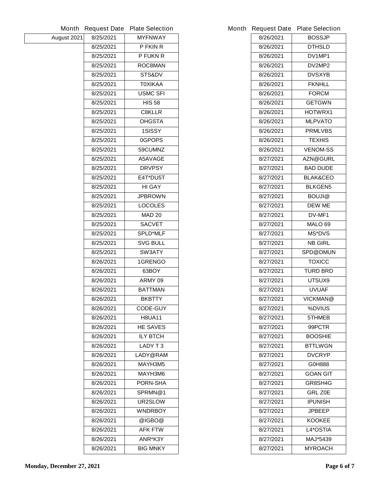|             |           | Month Request Date Plate Selection | <b>Month Request Date</b> | <b>Plate Selection</b> |
|-------------|-----------|------------------------------------|---------------------------|------------------------|
| August 2021 | 8/25/2021 | <b>MYFNWAY</b>                     | 8/26/2021                 | <b>BOSSJP</b>          |
|             | 8/25/2021 | P FKIN R                           | 8/26/2021                 | <b>DTHSLD</b>          |
|             | 8/25/2021 | <b>P FUKN R</b>                    | 8/26/2021                 | DV1MP1                 |
|             | 8/25/2021 | <b>ROC8MAN</b>                     | 8/26/2021                 | DV2MP2                 |
|             | 8/25/2021 | STS&DV                             | 8/26/2021                 | <b>DVSXYB</b>          |
|             | 8/25/2021 | <b>TOXIKAA</b>                     | 8/26/2021                 | <b>FKNHLL</b>          |
|             | 8/25/2021 | <b>USMC SFI</b>                    | 8/26/2021                 | <b>FORCM</b>           |
|             | 8/25/2021 | <b>HIS 58</b>                      | 8/26/2021                 | <b>GETGWN</b>          |
|             | 8/25/2021 | <b>C8KLLR</b>                      | 8/26/2021                 | <b>HOTWRX1</b>         |
|             | 8/25/2021 | <b>OHGSTA</b>                      | 8/26/2021                 | <b>MLPVATO</b>         |
|             | 8/25/2021 | 1SISSY                             | 8/26/2021                 | <b>PRMLVBS</b>         |
|             | 8/25/2021 | 0GPOPS                             | 8/26/2021                 | <b>TEXHIS</b>          |
|             | 8/25/2021 | 59CUMNZ                            | 8/26/2021                 | <b>VENOM-SS</b>        |
|             | 8/25/2021 | A5AVAGE                            | 8/27/2021                 | <b>AZN@GURL</b>        |
|             | 8/25/2021 | <b>DRVPSY</b>                      | 8/27/2021                 | <b>BAD DUDE</b>        |
|             | 8/25/2021 | E4T*DU5T                           | 8/27/2021                 | <b>BLAK&amp;CEO</b>    |
|             | 8/25/2021 | <b>HI GAY</b>                      | 8/27/2021                 | <b>BLKGEN5</b>         |
|             | 8/25/2021 | <b>JPBROWN</b>                     | 8/27/2021                 | <b>BOUJI@</b>          |
|             | 8/25/2021 | <b>LOCOLES</b>                     | 8/27/2021                 | <b>DEW ME</b>          |
|             | 8/25/2021 | <b>MAD 20</b>                      | 8/27/2021                 | DV-MF1                 |
|             | 8/25/2021 | <b>SACVET</b>                      | 8/27/2021                 | MALO 69                |
|             | 8/25/2021 | <b>SPLD*MLF</b>                    | 8/27/2021                 | <b>MS*DVS</b>          |
|             | 8/25/2021 | <b>SVG BULL</b>                    | 8/27/2021                 | <b>NB GIRL</b>         |
|             | 8/25/2021 | <b>SW3ATY</b>                      | 8/27/2021                 | <b>SPD@DMUN</b>        |
|             | 8/26/2021 | <b>1GRENGO</b>                     | 8/27/2021                 | <b>TOXICC</b>          |
|             | 8/26/2021 | 63BOY                              | 8/27/2021                 | <b>TURD BRD</b>        |
|             | 8/26/2021 | ARMY 09                            | 8/27/2021                 | UTSUX9                 |
|             | 8/26/2021 | <b>BATTMAN</b>                     | 8/27/2021                 | <b>UVUAF</b>           |
|             | 8/26/2021 | <b>BKBTTY</b>                      | 8/27/2021                 | <b>VICKMAN@</b>        |
|             | 8/26/2021 | <b>CODE-GUY</b>                    | 8/27/2021                 | %DVIUS                 |
|             | 8/26/2021 | <b>H8UA11</b>                      | 8/27/2021                 | 5THMEB                 |
|             | 8/26/2021 | <b>HE SAVES</b>                    | 8/27/2021                 | 99PCTR                 |
|             | 8/26/2021 | <b>ILY BTCH</b>                    | 8/27/2021                 | <b>BOOSHIE</b>         |
|             | 8/26/2021 | LADY T3                            | 8/27/2021                 | <b>BTTLWGN</b>         |
|             | 8/26/2021 | LADY@RAM                           | 8/27/2021                 | <b>DVCRYP</b>          |
|             | 8/26/2021 | MAYH3M5                            | 8/27/2021                 | G0H888                 |
|             | 8/26/2021 | MAYH3M6                            | 8/27/2021                 | <b>GOAN GIT</b>        |
|             | 8/26/2021 | <b>PORN-SHA</b>                    | 8/27/2021                 | GR8SH4G                |
|             | 8/26/2021 | SPRMN@1                            | 8/27/2021                 | <b>GRL Z0E</b>         |
|             | 8/26/2021 | UR2SLOW                            | 8/27/2021                 | <b>IPUNISH</b>         |
|             | 8/26/2021 | <b>WNDRBOY</b>                     | 8/27/2021                 | <b>JPBEEP</b>          |
|             | 8/26/2021 | @IGBO@                             | 8/27/2021                 | <b>KOOKEE</b>          |
|             | 8/26/2021 | <b>AFK FTW</b>                     | 8/27/2021                 | L4*OSTIA               |
|             | 8/26/2021 | ANR*K3Y                            | 8/27/2021                 | <b>MAJ*5439</b>        |
|             | 8/26/2021 | <b>BIG MNKY</b>                    | 8/27/2021                 | <b>MYROACH</b>         |
|             |           |                                    |                           |                        |

| 8/26/2021<br><b>BOSSJP</b><br>8/26/2021<br><b>DTHSLD</b><br>8/26/2021<br>DV1MP1<br>8/26/2021<br>DV2MP2<br><b>DVSXYB</b><br>8/26/2021<br>8/26/2021<br><b>FKNHLL</b><br><b>FORCM</b><br>8/26/2021<br><b>GETGWN</b><br>8/26/2021<br>8/26/2021<br><b>HOTWRX1</b><br><b>MLPVATO</b><br>8/26/2021<br><b>PRMLVBS</b><br>8/26/2021<br>8/26/2021<br>TEXHIS<br><b>VENOM-SS</b><br>8/26/2021<br>8/27/2021<br><b>AZN@GURL</b><br>8/27/2021<br><b>BAD DUDE</b><br><b>BLAK&amp;CEO</b><br>8/27/2021<br><b>BLKGEN5</b><br>8/27/2021<br>8/27/2021<br><b>BOUJI@</b><br><b>DEW ME</b><br>8/27/2021<br><b>DV-MF1</b><br>8/27/2021<br><b>MALO 69</b><br>8/27/2021<br><b>MS*DVS</b><br>8/27/2021<br>8/27/2021<br><b>NB GIRL</b><br>8/27/2021<br><b>SPD@DMUN</b><br>8/27/2021<br>TOXICC<br>8/27/2021<br><b>TURD BRD</b><br>8/27/2021<br><b>UTSUX9</b><br><b>UVUAF</b><br>8/27/2021 |
|--------------------------------------------------------------------------------------------------------------------------------------------------------------------------------------------------------------------------------------------------------------------------------------------------------------------------------------------------------------------------------------------------------------------------------------------------------------------------------------------------------------------------------------------------------------------------------------------------------------------------------------------------------------------------------------------------------------------------------------------------------------------------------------------------------------------------------------------------------------|
|                                                                                                                                                                                                                                                                                                                                                                                                                                                                                                                                                                                                                                                                                                                                                                                                                                                              |
|                                                                                                                                                                                                                                                                                                                                                                                                                                                                                                                                                                                                                                                                                                                                                                                                                                                              |
|                                                                                                                                                                                                                                                                                                                                                                                                                                                                                                                                                                                                                                                                                                                                                                                                                                                              |
|                                                                                                                                                                                                                                                                                                                                                                                                                                                                                                                                                                                                                                                                                                                                                                                                                                                              |
|                                                                                                                                                                                                                                                                                                                                                                                                                                                                                                                                                                                                                                                                                                                                                                                                                                                              |
|                                                                                                                                                                                                                                                                                                                                                                                                                                                                                                                                                                                                                                                                                                                                                                                                                                                              |
|                                                                                                                                                                                                                                                                                                                                                                                                                                                                                                                                                                                                                                                                                                                                                                                                                                                              |
|                                                                                                                                                                                                                                                                                                                                                                                                                                                                                                                                                                                                                                                                                                                                                                                                                                                              |
|                                                                                                                                                                                                                                                                                                                                                                                                                                                                                                                                                                                                                                                                                                                                                                                                                                                              |
|                                                                                                                                                                                                                                                                                                                                                                                                                                                                                                                                                                                                                                                                                                                                                                                                                                                              |
|                                                                                                                                                                                                                                                                                                                                                                                                                                                                                                                                                                                                                                                                                                                                                                                                                                                              |
|                                                                                                                                                                                                                                                                                                                                                                                                                                                                                                                                                                                                                                                                                                                                                                                                                                                              |
|                                                                                                                                                                                                                                                                                                                                                                                                                                                                                                                                                                                                                                                                                                                                                                                                                                                              |
|                                                                                                                                                                                                                                                                                                                                                                                                                                                                                                                                                                                                                                                                                                                                                                                                                                                              |
|                                                                                                                                                                                                                                                                                                                                                                                                                                                                                                                                                                                                                                                                                                                                                                                                                                                              |
|                                                                                                                                                                                                                                                                                                                                                                                                                                                                                                                                                                                                                                                                                                                                                                                                                                                              |
|                                                                                                                                                                                                                                                                                                                                                                                                                                                                                                                                                                                                                                                                                                                                                                                                                                                              |
|                                                                                                                                                                                                                                                                                                                                                                                                                                                                                                                                                                                                                                                                                                                                                                                                                                                              |
|                                                                                                                                                                                                                                                                                                                                                                                                                                                                                                                                                                                                                                                                                                                                                                                                                                                              |
|                                                                                                                                                                                                                                                                                                                                                                                                                                                                                                                                                                                                                                                                                                                                                                                                                                                              |
|                                                                                                                                                                                                                                                                                                                                                                                                                                                                                                                                                                                                                                                                                                                                                                                                                                                              |
|                                                                                                                                                                                                                                                                                                                                                                                                                                                                                                                                                                                                                                                                                                                                                                                                                                                              |
|                                                                                                                                                                                                                                                                                                                                                                                                                                                                                                                                                                                                                                                                                                                                                                                                                                                              |
|                                                                                                                                                                                                                                                                                                                                                                                                                                                                                                                                                                                                                                                                                                                                                                                                                                                              |
|                                                                                                                                                                                                                                                                                                                                                                                                                                                                                                                                                                                                                                                                                                                                                                                                                                                              |
|                                                                                                                                                                                                                                                                                                                                                                                                                                                                                                                                                                                                                                                                                                                                                                                                                                                              |
|                                                                                                                                                                                                                                                                                                                                                                                                                                                                                                                                                                                                                                                                                                                                                                                                                                                              |
|                                                                                                                                                                                                                                                                                                                                                                                                                                                                                                                                                                                                                                                                                                                                                                                                                                                              |
| <b>VICKMAN@</b><br>8/27/2021                                                                                                                                                                                                                                                                                                                                                                                                                                                                                                                                                                                                                                                                                                                                                                                                                                 |
| %DVIUS<br>8/27/2021                                                                                                                                                                                                                                                                                                                                                                                                                                                                                                                                                                                                                                                                                                                                                                                                                                          |
| 8/27/2021<br><b>5THMEB</b>                                                                                                                                                                                                                                                                                                                                                                                                                                                                                                                                                                                                                                                                                                                                                                                                                                   |
| 99PCTR<br>8/27/2021                                                                                                                                                                                                                                                                                                                                                                                                                                                                                                                                                                                                                                                                                                                                                                                                                                          |
| 8/27/2021<br><b>BOOSHIE</b>                                                                                                                                                                                                                                                                                                                                                                                                                                                                                                                                                                                                                                                                                                                                                                                                                                  |
| <b>BTTLWGN</b><br>8/27/2021                                                                                                                                                                                                                                                                                                                                                                                                                                                                                                                                                                                                                                                                                                                                                                                                                                  |
| <b>DVCRYP</b><br>8/27/2021                                                                                                                                                                                                                                                                                                                                                                                                                                                                                                                                                                                                                                                                                                                                                                                                                                   |
| 8/27/2021<br>G0H888                                                                                                                                                                                                                                                                                                                                                                                                                                                                                                                                                                                                                                                                                                                                                                                                                                          |
| 8/27/2021<br>GOAN GIT                                                                                                                                                                                                                                                                                                                                                                                                                                                                                                                                                                                                                                                                                                                                                                                                                                        |
| 8/27/2021<br>GR8SH4G                                                                                                                                                                                                                                                                                                                                                                                                                                                                                                                                                                                                                                                                                                                                                                                                                                         |
| 8/27/2021<br><b>GRL Z0E</b>                                                                                                                                                                                                                                                                                                                                                                                                                                                                                                                                                                                                                                                                                                                                                                                                                                  |
| 8/27/2021<br>IPUNISH                                                                                                                                                                                                                                                                                                                                                                                                                                                                                                                                                                                                                                                                                                                                                                                                                                         |
| 8/27/2021<br>JPBEEP                                                                                                                                                                                                                                                                                                                                                                                                                                                                                                                                                                                                                                                                                                                                                                                                                                          |
| 8/27/2021<br><b>KOOKEE</b>                                                                                                                                                                                                                                                                                                                                                                                                                                                                                                                                                                                                                                                                                                                                                                                                                                   |
| 8/27/2021<br>L4*OSTIA                                                                                                                                                                                                                                                                                                                                                                                                                                                                                                                                                                                                                                                                                                                                                                                                                                        |
| 8/27/2021<br><b>MAJ*5439</b>                                                                                                                                                                                                                                                                                                                                                                                                                                                                                                                                                                                                                                                                                                                                                                                                                                 |
| 8/27/2021<br><b>MYROACH</b>                                                                                                                                                                                                                                                                                                                                                                                                                                                                                                                                                                                                                                                                                                                                                                                                                                  |